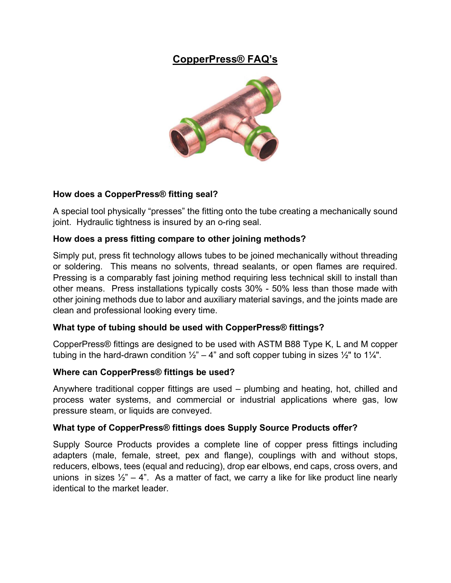# **CopperPress® FAQ's**



## **How does a CopperPress® fitting seal?**

A special tool physically "presses" the fitting onto the tube creating a mechanically sound joint. Hydraulic tightness is insured by an o-ring seal.

## **How does a press fitting compare to other joining methods?**

Simply put, press fit technology allows tubes to be joined mechanically without threading or soldering. This means no solvents, thread sealants, or open flames are required. Pressing is a comparably fast joining method requiring less technical skill to install than other means. Press installations typically costs 30% - 50% less than those made with other joining methods due to labor and auxiliary material savings, and the joints made are clean and professional looking every time.

## **What type of tubing should be used with CopperPress® fittings?**

CopperPress® fittings are designed to be used with ASTM B88 Type K, L and M copper tubing in the hard-drawn condition  $\frac{1}{2}$ " – 4" and soft copper tubing in sizes  $\frac{1}{2}$ " to 1 $\frac{1}{4}$ ".

#### **Where can CopperPress® fittings be used?**

Anywhere traditional copper fittings are used – plumbing and heating, hot, chilled and process water systems, and commercial or industrial applications where gas, low pressure steam, or liquids are conveyed.

## **What type of CopperPress® fittings does Supply Source Products offer?**

Supply Source Products provides a complete line of copper press fittings including adapters (male, female, street, pex and flange), couplings with and without stops, reducers, elbows, tees (equal and reducing), drop ear elbows, end caps, cross overs, and unions in sizes  $\frac{1}{2}$  – 4". As a matter of fact, we carry a like for like product line nearly identical to the market leader.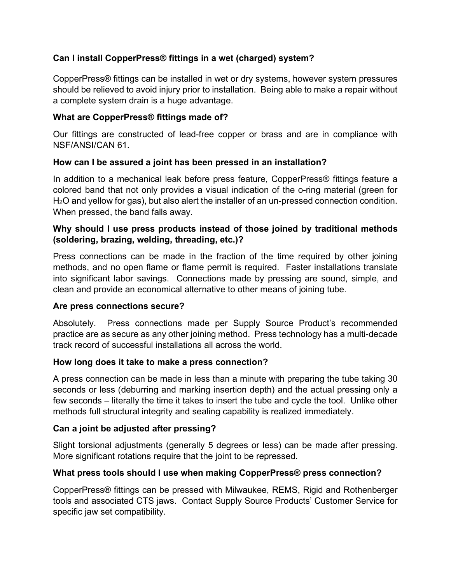## **Can I install CopperPress® fittings in a wet (charged) system?**

CopperPress® fittings can be installed in wet or dry systems, however system pressures should be relieved to avoid injury prior to installation. Being able to make a repair without a complete system drain is a huge advantage.

## **What are CopperPress® fittings made of?**

Our fittings are constructed of lead-free copper or brass and are in compliance with NSF/ANSI/CAN 61.

#### **How can I be assured a joint has been pressed in an installation?**

In addition to a mechanical leak before press feature, CopperPress® fittings feature a colored band that not only provides a visual indication of the o-ring material (green for H2O and yellow for gas), but also alert the installer of an un-pressed connection condition. When pressed, the band falls away.

#### **Why should I use press products instead of those joined by traditional methods (soldering, brazing, welding, threading, etc.)?**

Press connections can be made in the fraction of the time required by other joining methods, and no open flame or flame permit is required. Faster installations translate into significant labor savings. Connections made by pressing are sound, simple, and clean and provide an economical alternative to other means of joining tube.

#### **Are press connections secure?**

Absolutely. Press connections made per Supply Source Product's recommended practice are as secure as any other joining method. Press technology has a multi-decade track record of successful installations all across the world.

#### **How long does it take to make a press connection?**

A press connection can be made in less than a minute with preparing the tube taking 30 seconds or less (deburring and marking insertion depth) and the actual pressing only a few seconds – literally the time it takes to insert the tube and cycle the tool. Unlike other methods full structural integrity and sealing capability is realized immediately.

## **Can a joint be adjusted after pressing?**

Slight torsional adjustments (generally 5 degrees or less) can be made after pressing. More significant rotations require that the joint to be repressed.

## **What press tools should I use when making CopperPress® press connection?**

CopperPress® fittings can be pressed with Milwaukee, REMS, Rigid and Rothenberger tools and associated CTS jaws. Contact Supply Source Products' Customer Service for specific jaw set compatibility.